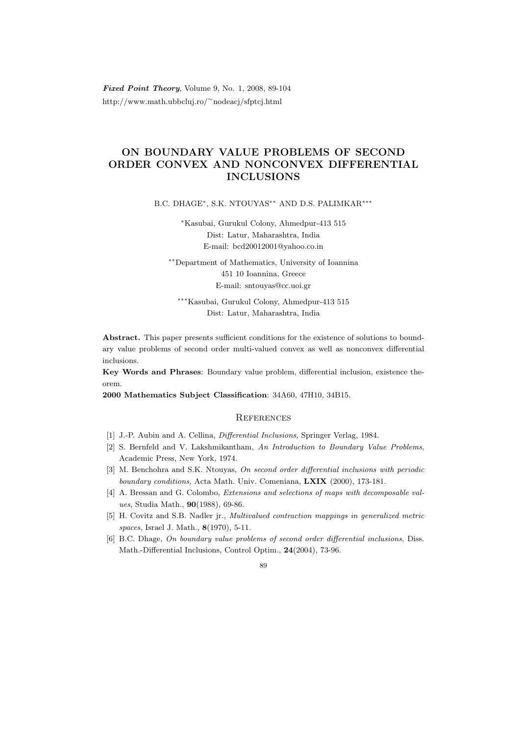Fixed Point Theory, Volume 9, No. 1, 2008, 89-104 http://www.math.ubbcluj.ro/<sup>∼</sup>nodeacj/sfptcj.html

## ON BOUNDARY VALUE PROBLEMS OF SECOND ORDER CONVEX AND NONCONVEX DIFFERENTIAL INCLUSIONS

B.C. DHAGE<sup>\*</sup>, S.K. NTOUYAS<sup>\*\*</sup> AND D.S. PALIMKAR<sup>\*\*\*</sup>

<sup>∗</sup>Kasubai, Gurukul Colony, Ahmedpur-413 515 Dist: Latur, Maharashtra, India E-mail: bcd20012001@yahoo.co.in

∗∗Department of Mathematics, University of Ioannina 451 10 Ioannina, Greece E-mail: sntouyas@cc.uoi.gr

∗∗∗Kasubai, Gurukul Colony, Ahmedpur-413 515 Dist: Latur, Maharashtra, India

Abstract. This paper presents sufficient conditions for the existence of solutions to boundary value problems of second order multi-valued convex as well as nonconvex differential inclusions.

Key Words and Phrases: Boundary value problem, differential inclusion, existence theorem.

2000 Mathematics Subject Classification: 34A60, 47H10, 34B15.

## **REFERENCES**

- [1] J.-P. Aubin and A. Cellina, Differential Inclusions, Springer Verlag, 1984.
- [2] S. Bernfeld and V. Lakshmikantham, An Introduction to Boundary Value Problems, Academic Press, New York, 1974.
- [3] M. Benchohra and S.K. Ntouyas, On second order differential inclusions with periodic boundary conditions, Acta Math. Univ. Comeniana, LXIX (2000), 173-181.
- [4] A. Bressan and G. Colombo, Extensions and selections of maps with decomposable values, Studia Math., 90(1988), 69-86.
- [5] H. Covitz and S.B. Nadler jr., Multivalued contraction mappings in generalized metric spaces, Israel J. Math., 8(1970), 5-11.
- [6] B.C. Dhage, On boundary value problems of second order differential inclusions, Diss. Math.-Differential Inclusions, Control Optim., 24(2004), 73-96.

## $80$